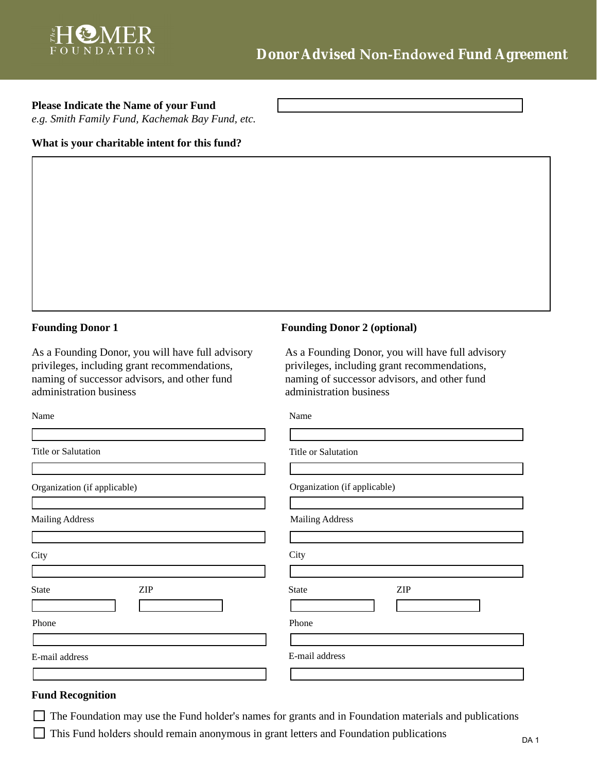| <u> 1989 - Johann Barnett, fransk politik (d. 1989)</u> |                                                                                                                                                                                                                                      |
|---------------------------------------------------------|--------------------------------------------------------------------------------------------------------------------------------------------------------------------------------------------------------------------------------------|
| <u> 1989 - Johann Barbara, martxa alemaniar arg</u>     |                                                                                                                                                                                                                                      |
|                                                         |                                                                                                                                                                                                                                      |
|                                                         | <u> The Community of the Community of the Community of the Community of the Community of the Community of the Community of the Community of the Community of the Community of the Community of the Community of the Community of</u> |
|                                                         |                                                                                                                                                                                                                                      |
|                                                         |                                                                                                                                                                                                                                      |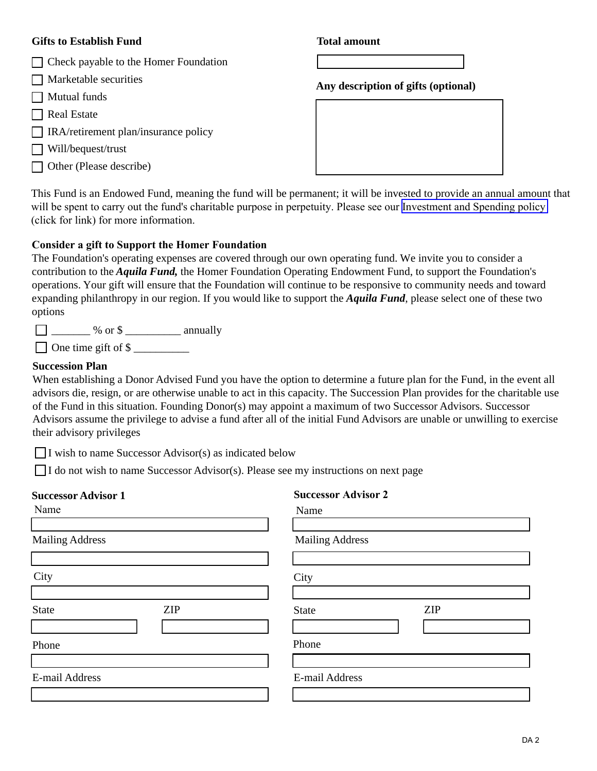



| $\Box$<br>Г      |  |
|------------------|--|
| $\Box$<br>$\Box$ |  |
|                  |  |
|                  |  |
|                  |  |
|                  |  |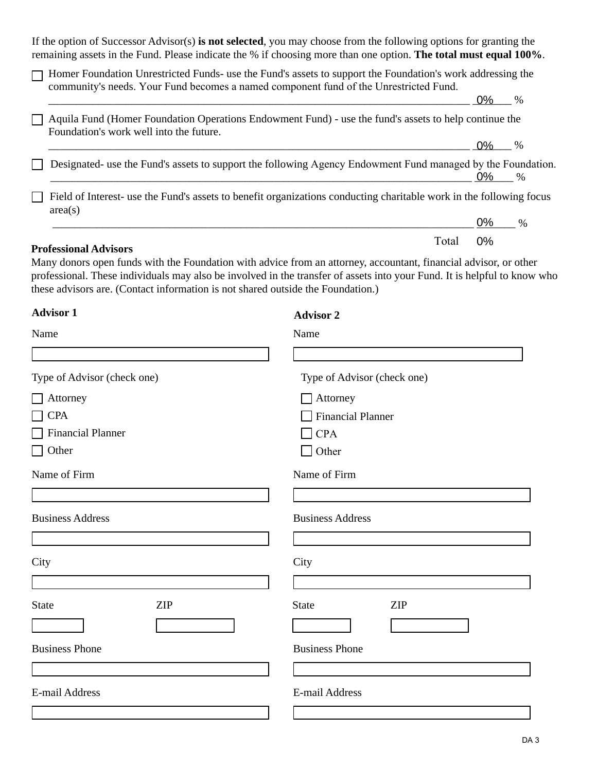

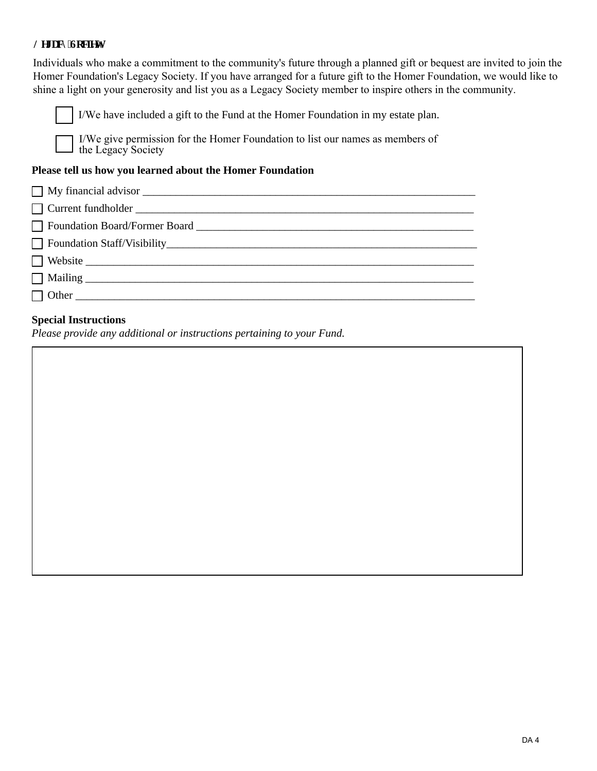

 $\Box$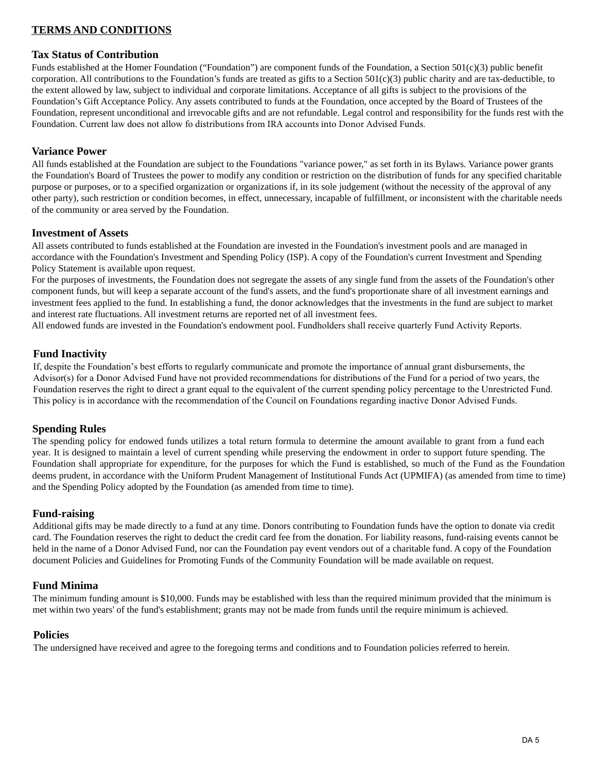Funds established at the Homer Foundation ("Foundation") are component funds of the Foundation, a Section  $501(c)(3)$  public benefit corporation. All contributions to the Foundation's funds are treated as gifts to a Section  $501(c)(3)$  public charity and are tax-deductible, to the extent allowed by law, subject to individual and corporate limitations. Acceptance of all gifts is subject to the provisions of the Foundation's Gift Acceptance Policy. Any assets contributed to funds at the Foundation, once accepted by the Board of Trustees of the Foundation, represent unconditional and irrevocable gifts and are not refundable. Legal control and responsibility for the funds rest with the Foundation. Current law does not allow fo distributions from IRA accounts into Donor Advised Funds.

# 9DULDQFH3RZHU

All funds established at the Foundation are subject to the Foundations "variance power," as set forth in its Bylaws. Variance power grants the Foundation's Board of Trustees the power to modify any condition or restriction on the distribution of funds for any specified charitable purpose or purposes, or to a specified organization or organizations if, in its sole judgement (without the necessity of the approval of any other party), such restriction or condition becomes, in effect, unnecessary, incapable of fulfillment, or inconsistent with the charitable needs of the community or area served by the Foundation.

## ,QYHVWPHQWRI\$VVHWV

All assets contributed to funds established at the Foundation are invested in the Foundation's investment pools and are managed in accordance with the Foundation's Investment and Spending Policy (ISP). A copy of the Foundation's current Investment and Spending Policy Statement is available upon request.

For the purposes of investments, the Foundation does not segregate the assets of any single fund from the assets of the Foundation's other component funds, but will keep a separate account of the fund's assets, and the fund's proportionate share of all investment earnings and investment fees applied to the fund. In establishing a fund, the donor acknowledges that the investments in the fund are subject to market and interest rate fluctuations. All investment returns are reported net of all investment fees.

All non-endowed funds are invested in the Foundation's endowment pool. Fundholders shall receive quarterly Fund Activity Reports.

### )XQG,QDFWLYLW\

If, despite the Foundation's best efforts to regularly communicate and promote the importance of annual grant disbursements, the Advisor(s) for a Donor Advised Fund have not provided recommendations for distributions of the Fund for a period of two years, the Foundation reserves the right to direct a grant equal to the equivalent of the current spending policy percentage to the Unrestricted Fund. This policy is in accordance with the recommendation of the Council on Foundations regarding inactive Donor Advised Funds.

#### Spending Rules

Distributions of grants from the Fund may be made in any amount up to 100% of the Fund's assets, in accordance with the Uniform Prudent Management of Institutional Funds Act (UPMIFA) (as amended from time to time) and the Spending Policy adopted by the Foundation (as amended from time to time).

### \$GPLQLVWUDWLYH([SHQVHV

The Homer Foundation will assess administrative and investment management fees against the Fund in accordance with its own published fee schedule (as amended from time to time). The Homer Foundation may also assess the fund to cover any unusual expenses incurred in connection with the contributed assets, including the cost of disposal.

## )XQGUDLVLQJ

Additional gifts may be made directly to a fund at any time. Donors contributing to Foundation funds have the option to donate via credit card. The Foundation reserves the right to deduct the credit card fee from the donation. For liability reasons, fund-raising events cannot be held in the name of a Donor Advised Fund, nor can the Foundation pay event vendors out of a charitable fund. A copy of the Foundation document Policies and Guidelines for Promoting Funds of the Community Foundation will be made available on request.

### )XQG0LQLPD

The minimum funding amount is \$10,000. Funds may be established with less than the required minimum provided that the minimum is met within two years' of the fund's establishment; grants may not be made from funds until the require minimum is achieved.

#### 3ROLFLHV

The undersigned have received and agree to the foregoing terms and conditions and to Foundation policies referred to herein.